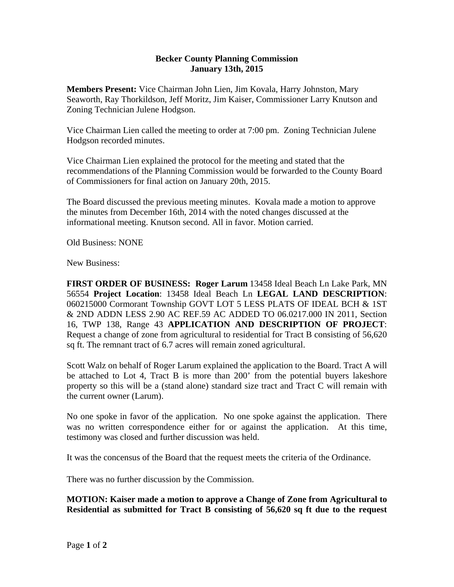## **Becker County Planning Commission January 13th, 2015**

**Members Present:** Vice Chairman John Lien, Jim Kovala, Harry Johnston, Mary Seaworth, Ray Thorkildson, Jeff Moritz, Jim Kaiser, Commissioner Larry Knutson and Zoning Technician Julene Hodgson.

Vice Chairman Lien called the meeting to order at 7:00 pm. Zoning Technician Julene Hodgson recorded minutes.

Vice Chairman Lien explained the protocol for the meeting and stated that the recommendations of the Planning Commission would be forwarded to the County Board of Commissioners for final action on January 20th, 2015.

The Board discussed the previous meeting minutes. Kovala made a motion to approve the minutes from December 16th, 2014 with the noted changes discussed at the informational meeting. Knutson second. All in favor. Motion carried.

Old Business: NONE

New Business:

**FIRST ORDER OF BUSINESS: Roger Larum** 13458 Ideal Beach Ln Lake Park, MN 56554 **Project Location**: 13458 Ideal Beach Ln **LEGAL LAND DESCRIPTION**: 060215000 Cormorant Township GOVT LOT 5 LESS PLATS OF IDEAL BCH & 1ST & 2ND ADDN LESS 2.90 AC REF.59 AC ADDED TO 06.0217.000 IN 2011, Section 16, TWP 138, Range 43 **APPLICATION AND DESCRIPTION OF PROJECT**: Request a change of zone from agricultural to residential for Tract B consisting of 56,620 sq ft. The remnant tract of 6.7 acres will remain zoned agricultural.

Scott Walz on behalf of Roger Larum explained the application to the Board. Tract A will be attached to Lot 4, Tract B is more than 200' from the potential buyers lakeshore property so this will be a (stand alone) standard size tract and Tract C will remain with the current owner (Larum).

No one spoke in favor of the application. No one spoke against the application. There was no written correspondence either for or against the application. At this time, testimony was closed and further discussion was held.

It was the concensus of the Board that the request meets the criteria of the Ordinance.

There was no further discussion by the Commission.

**MOTION: Kaiser made a motion to approve a Change of Zone from Agricultural to Residential as submitted for Tract B consisting of 56,620 sq ft due to the request**